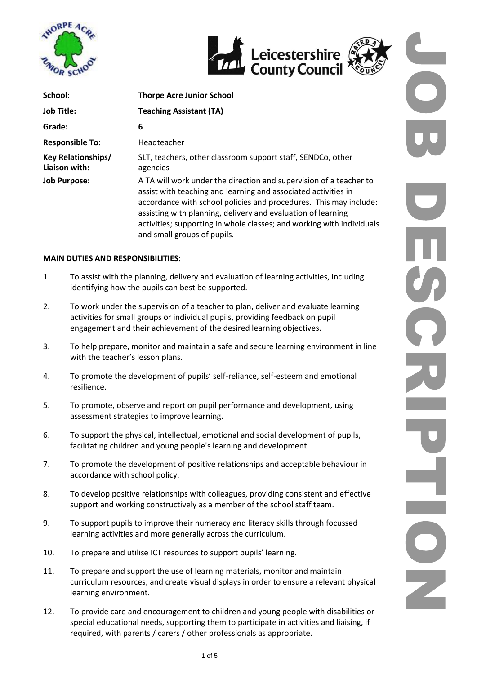





| School:                                    | <b>Thorpe Acre Junior School</b>                                                                                                                                                                                                                                                                                                                                                  |  |  |
|--------------------------------------------|-----------------------------------------------------------------------------------------------------------------------------------------------------------------------------------------------------------------------------------------------------------------------------------------------------------------------------------------------------------------------------------|--|--|
| <b>Job Title:</b>                          | <b>Teaching Assistant (TA)</b>                                                                                                                                                                                                                                                                                                                                                    |  |  |
| Grade:                                     | 6                                                                                                                                                                                                                                                                                                                                                                                 |  |  |
| <b>Responsible To:</b>                     | Headteacher                                                                                                                                                                                                                                                                                                                                                                       |  |  |
| <b>Key Relationships/</b><br>Liaison with: | SLT, teachers, other classroom support staff, SENDCo, other<br>agencies                                                                                                                                                                                                                                                                                                           |  |  |
| <b>Job Purpose:</b>                        | A TA will work under the direction and supervision of a teacher to<br>assist with teaching and learning and associated activities in<br>accordance with school policies and procedures. This may include:<br>assisting with planning, delivery and evaluation of learning<br>activities; supporting in whole classes; and working with individuals<br>and small groups of pupils. |  |  |

# **MAIN DUTIES AND RESPONSIBILITIES:**

- 1. To assist with the planning, delivery and evaluation of learning activities, including identifying how the pupils can best be supported.
- 2. To work under the supervision of a teacher to plan, deliver and evaluate learning activities for small groups or individual pupils, providing feedback on pupil engagement and their achievement of the desired learning objectives.
- 3. To help prepare, monitor and maintain a safe and secure learning environment in line with the teacher's lesson plans.
- 4. To promote the development of pupils' self-reliance, self-esteem and emotional resilience.
- 5. To promote, observe and report on pupil performance and development, using assessment strategies to improve learning.
- 6. To support the physical, intellectual, emotional and social development of pupils, facilitating children and young people's learning and development.
- 7. To promote the development of positive relationships and acceptable behaviour in accordance with school policy.
- 8. To develop positive relationships with colleagues, providing consistent and effective support and working constructively as a member of the school staff team.
- 9. To support pupils to improve their numeracy and literacy skills through focussed learning activities and more generally across the curriculum.
- 10. To prepare and utilise ICT resources to support pupils' learning.
- 11. To prepare and support the use of learning materials, monitor and maintain curriculum resources, and create visual displays in order to ensure a relevant physical learning environment.
- 12. To provide care and encouragement to children and young people with disabilities or special educational needs, supporting them to participate in activities and liaising, if required, with parents / carers / other professionals as appropriate.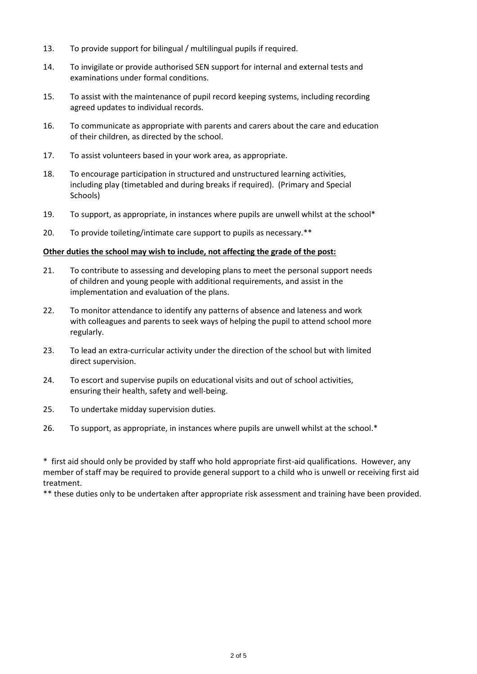- 13. To provide support for bilingual / multilingual pupils if required.
- 14. To invigilate or provide authorised SEN support for internal and external tests and examinations under formal conditions.
- 15. To assist with the maintenance of pupil record keeping systems, including recording agreed updates to individual records.
- 16. To communicate as appropriate with parents and carers about the care and education of their children, as directed by the school.
- 17. To assist volunteers based in your work area, as appropriate.
- 18. To encourage participation in structured and unstructured learning activities, including play (timetabled and during breaks if required). (Primary and Special Schools)
- 19. To support, as appropriate, in instances where pupils are unwell whilst at the school\*
- 20. To provide toileting/intimate care support to pupils as necessary.\*\*

#### **Other duties the school may wish to include, not affecting the grade of the post:**

- 21. To contribute to assessing and developing plans to meet the personal support needs of children and young people with additional requirements, and assist in the implementation and evaluation of the plans.
- 22. To monitor attendance to identify any patterns of absence and lateness and work with colleagues and parents to seek ways of helping the pupil to attend school more regularly.
- 23. To lead an extra-curricular activity under the direction of the school but with limited direct supervision.
- 24. To escort and supervise pupils on educational visits and out of school activities, ensuring their health, safety and well-being.
- 25. To undertake midday supervision duties.
- 26. To support, as appropriate, in instances where pupils are unwell whilst at the school.\*

\* first aid should only be provided by staff who hold appropriate first-aid qualifications. However, any member of staff may be required to provide general support to a child who is unwell or receiving first aid treatment.

\*\* these duties only to be undertaken after appropriate risk assessment and training have been provided.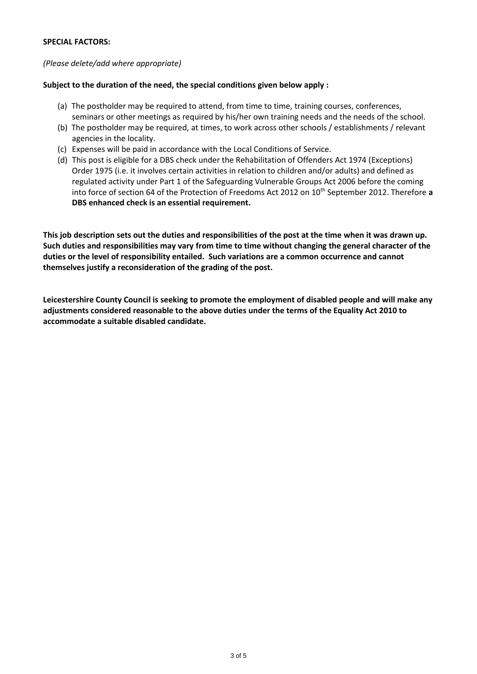# **SPECIAL FACTORS:**

# *(Please delete/add where appropriate)*

# **Subject to the duration of the need, the special conditions given below apply :**

- (a) The postholder may be required to attend, from time to time, training courses, conferences, seminars or other meetings as required by his/her own training needs and the needs of the school.
- (b) The postholder may be required, at times, to work across other schools / establishments / relevant agencies in the locality.
- (c) Expenses will be paid in accordance with the Local Conditions of Service.
- (d) This post is eligible for a DBS check under the Rehabilitation of Offenders Act 1974 (Exceptions) Order 1975 (i.e. it involves certain activities in relation to children and/or adults) and defined as regulated activity under Part 1 of the Safeguarding Vulnerable Groups Act 2006 before the coming into force of section 64 of the Protection of Freedoms Act 2012 on 10<sup>th</sup> September 2012. Therefore a **DBS enhanced check is an essential requirement.**

**This job description sets out the duties and responsibilities of the post at the time when it was drawn up. Such duties and responsibilities may vary from time to time without changing the general character of the duties or the level of responsibility entailed. Such variations are a common occurrence and cannot themselves justify a reconsideration of the grading of the post.**

**Leicestershire County Council is seeking to promote the employment of disabled people and will make any adjustments considered reasonable to the above duties under the terms of the Equality Act 2010 to accommodate a suitable disabled candidate.**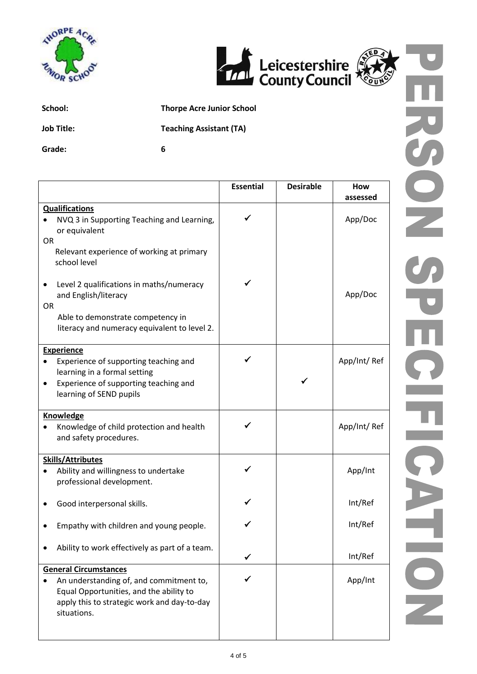





**School: Thorpe Acre Junior School**

**Job Title: Teaching Assistant (TA)**

**Grade: 6**

|                                                                                                                                                                                  | <b>Essential</b> | <b>Desirable</b> | How<br>assessed |
|----------------------------------------------------------------------------------------------------------------------------------------------------------------------------------|------------------|------------------|-----------------|
| <b>Qualifications</b><br>NVQ 3 in Supporting Teaching and Learning,<br>or equivalent                                                                                             |                  |                  | App/Doc         |
| <b>OR</b><br>Relevant experience of working at primary<br>school level                                                                                                           |                  |                  |                 |
| Level 2 qualifications in maths/numeracy<br>and English/literacy<br><b>OR</b><br>Able to demonstrate competency in<br>literacy and numeracy equivalent to level 2.               |                  |                  | App/Doc         |
| <b>Experience</b><br>Experience of supporting teaching and<br>learning in a formal setting<br>Experience of supporting teaching and<br>$\bullet$<br>learning of SEND pupils      | ✓                |                  | App/Int/Ref     |
| <b>Knowledge</b><br>Knowledge of child protection and health<br>and safety procedures.                                                                                           | ✓                |                  | App/Int/Ref     |
| <b>Skills/Attributes</b><br>Ability and willingness to undertake<br>professional development.                                                                                    |                  |                  | App/Int         |
| Good interpersonal skills.                                                                                                                                                       |                  |                  | Int/Ref         |
| Empathy with children and young people.                                                                                                                                          |                  |                  | Int/Ref         |
| Ability to work effectively as part of a team.                                                                                                                                   | ✓                |                  | Int/Ref         |
| <b>General Circumstances</b><br>An understanding of, and commitment to,<br>Equal Opportunities, and the ability to<br>apply this to strategic work and day-to-day<br>situations. |                  |                  | App/Int         |